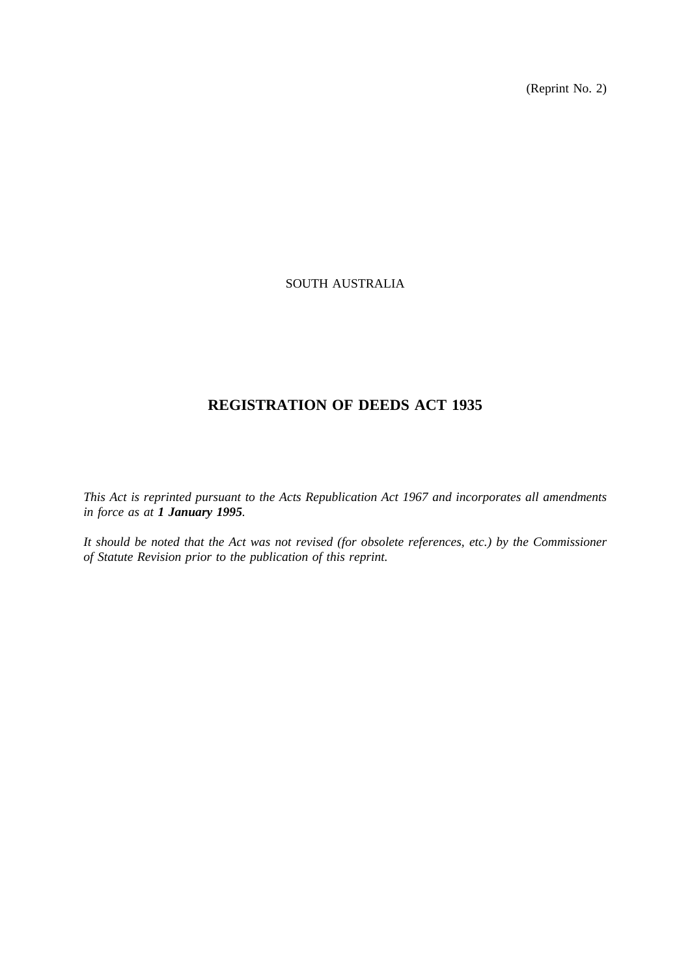(Reprint No. 2)

# SOUTH AUSTRALIA

# **REGISTRATION OF DEEDS ACT 1935**

*This Act is reprinted pursuant to the Acts Republication Act 1967 and incorporates all amendments in force as at 1 January 1995.*

*It should be noted that the Act was not revised (for obsolete references, etc.) by the Commissioner of Statute Revision prior to the publication of this reprint.*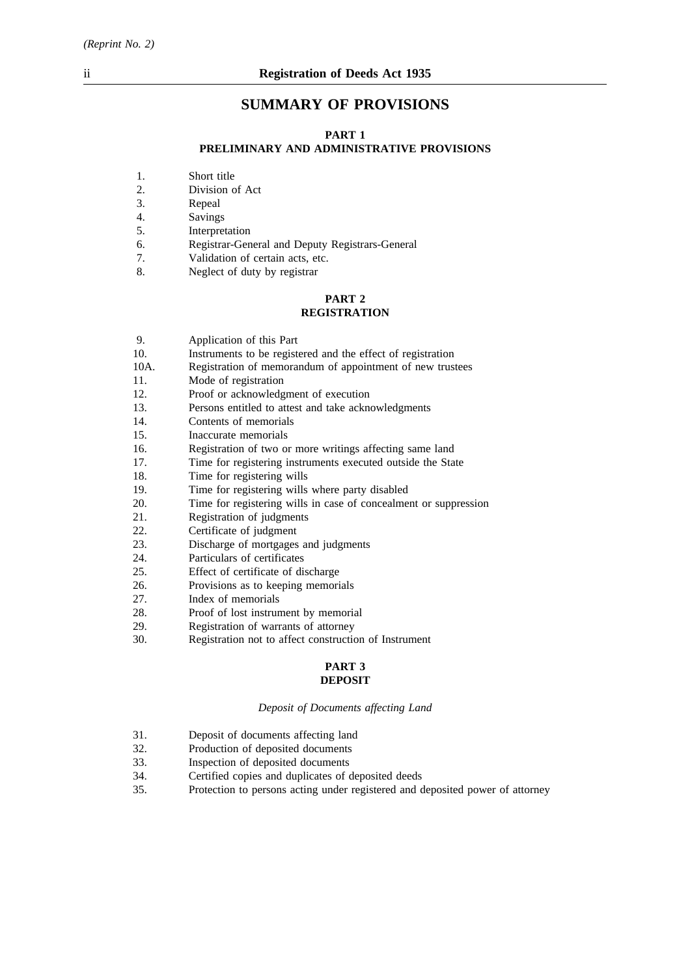# **SUMMARY OF PROVISIONS**

### **PART 1**

# **PRELIMINARY AND ADMINISTRATIVE PROVISIONS**

- 1. Short title
- 2. Division of Act
- 3. Repeal
- 4. Savings
- 5. Interpretation
- 6. Registrar-General and Deputy Registrars-General
- 7. Validation of certain acts, etc.
- 8. Neglect of duty by registrar

#### **PART 2 REGISTRATION**

- 9. Application of this Part
- 10. Instruments to be registered and the effect of registration
- 10A. Registration of memorandum of appointment of new trustees
- 11. Mode of registration
- 12. Proof or acknowledgment of execution
- 13. Persons entitled to attest and take acknowledgments
- 14. Contents of memorials
- 15. Inaccurate memorials
- 16. Registration of two or more writings affecting same land
- 17. Time for registering instruments executed outside the State
- 18. Time for registering wills
- 19. Time for registering wills where party disabled
- 20. Time for registering wills in case of concealment or suppression
- 21. Registration of judgments
- 22. Certificate of judgment
- 23. Discharge of mortgages and judgments
- 24. Particulars of certificates
- 25. Effect of certificate of discharge
- 26. Provisions as to keeping memorials
- 27. Index of memorials
- 28. Proof of lost instrument by memorial
- 29. Registration of warrants of attorney
- 30. Registration not to affect construction of Instrument

#### **PART 3 DEPOSIT**

#### *Deposit of Documents affecting Land*

- 31. Deposit of documents affecting land
- 32. Production of deposited documents
- 33. Inspection of deposited documents
- 34. Certified copies and duplicates of deposited deeds
- 35. Protection to persons acting under registered and deposited power of attorney

*(Reprint No. 2)*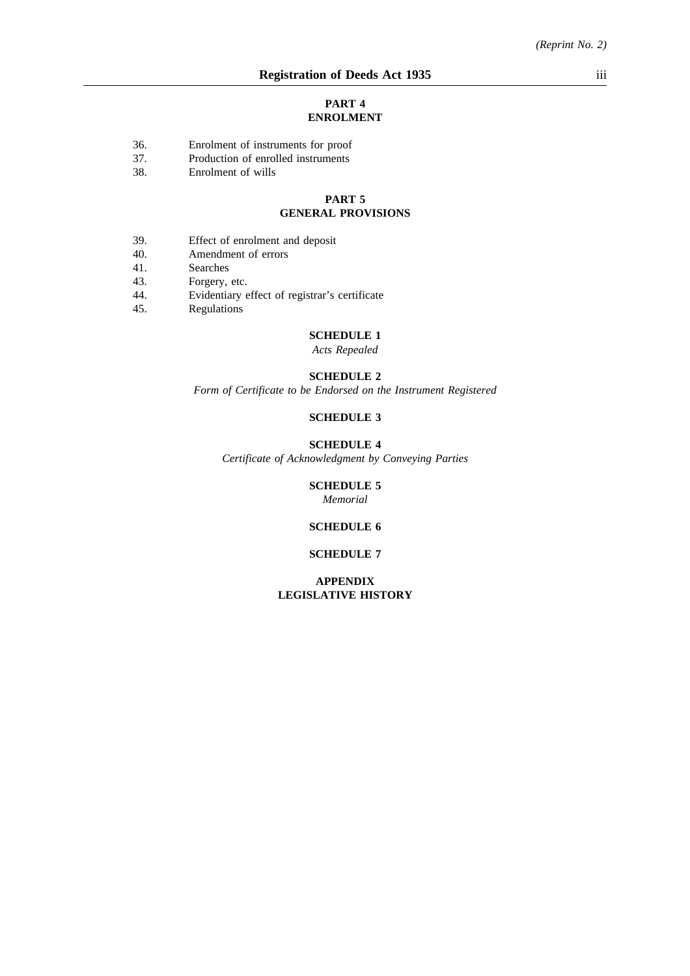### **PART 4 ENROLMENT**

- 37. Production of enrolled instruments
- 38. Enrolment of wills

# **PART 5 GENERAL PROVISIONS**

- 39. Effect of enrolment and deposit
- 40. Amendment of errors
- 41. Searches
- 43. Forgery, etc.
- 44. Evidentiary effect of registrar's certificate
- 45. Regulations

# **SCHEDULE 1**

*Acts Repealed*

#### **SCHEDULE 2**

*Form of Certificate to be Endorsed on the Instrument Registered*

# **SCHEDULE 3**

#### **SCHEDULE 4**

*Certificate of Acknowledgment by Conveying Parties*

# **SCHEDULE 5**

*Memorial*

# **SCHEDULE 6**

# **SCHEDULE 7**

**APPENDIX LEGISLATIVE HISTORY**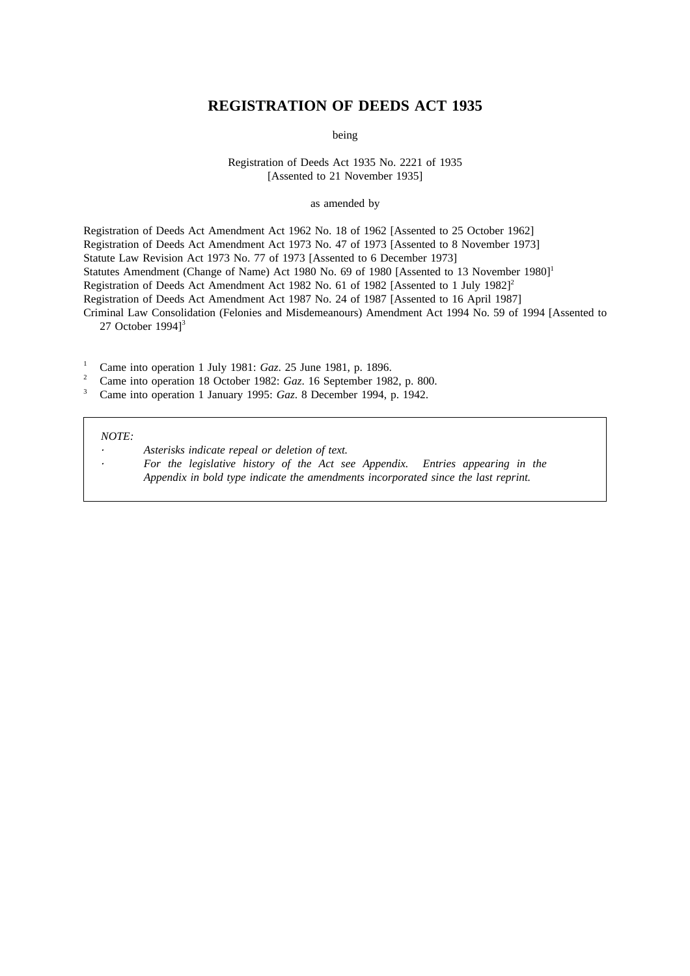# **REGISTRATION OF DEEDS ACT 1935**

being

# Registration of Deeds Act 1935 No. 2221 of 1935 [Assented to 21 November 1935]

#### as amended by

Registration of Deeds Act Amendment Act 1962 No. 18 of 1962 [Assented to 25 October 1962] Registration of Deeds Act Amendment Act 1973 No. 47 of 1973 [Assented to 8 November 1973] Statute Law Revision Act 1973 No. 77 of 1973 [Assented to 6 December 1973] Statutes Amendment (Change of Name) Act 1980 No. 69 of 1980 [Assented to 13 November 1980]<sup>1</sup> Registration of Deeds Act Amendment Act 1982 No. 61 of 1982 [Assented to 1 July 1982]<sup>2</sup> Registration of Deeds Act Amendment Act 1987 No. 24 of 1987 [Assented to 16 April 1987] Criminal Law Consolidation (Felonies and Misdemeanours) Amendment Act 1994 No. 59 of 1994 [Assented to

27 October 1994]<sup>3</sup>

<sup>1</sup> Came into operation 1 July 1981: *Gaz*. 25 June 1981, p. 1896.

<sup>2</sup> Came into operation 18 October 1982: *Gaz*. 16 September 1982, p. 800.

<sup>3</sup> Came into operation 1 January 1995: *Gaz*. 8 December 1994, p. 1942.

*NOTE:*

*Asterisks indicate repeal or deletion of text. For the legislative history of the Act see Appendix. Entries appearing in the Appendix in bold type indicate the amendments incorporated since the last reprint.*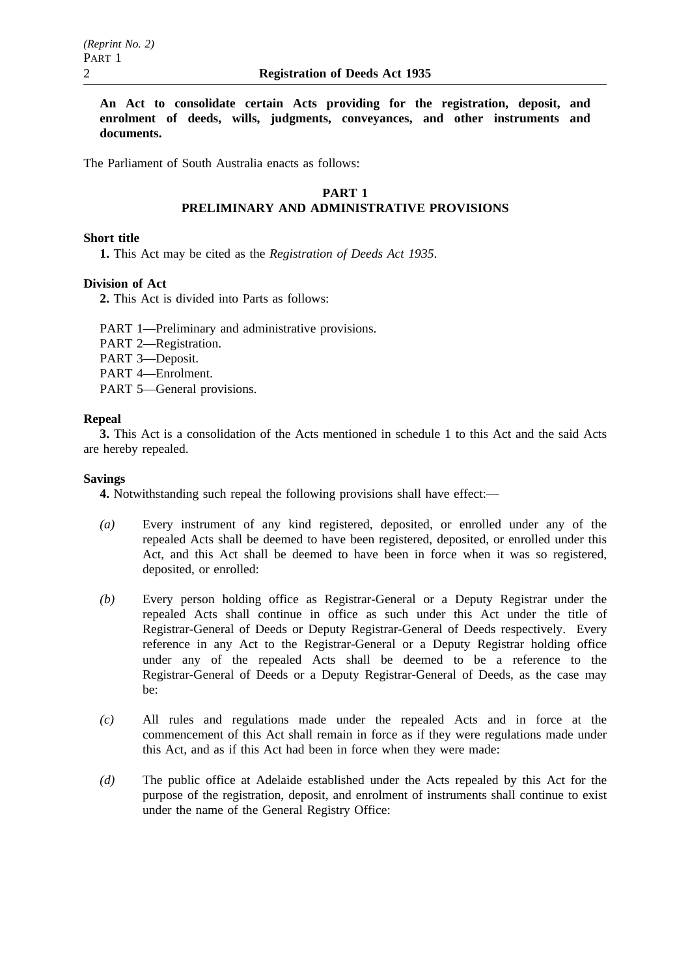**An Act to consolidate certain Acts providing for the registration, deposit, and enrolment of deeds, wills, judgments, conveyances, and other instruments and documents.**

The Parliament of South Australia enacts as follows:

# **PART 1**

# **PRELIMINARY AND ADMINISTRATIVE PROVISIONS**

# **Short title**

**1.** This Act may be cited as the *Registration of Deeds Act 1935*.

# **Division of Act**

**2.** This Act is divided into Parts as follows:

PART 1—Preliminary and administrative provisions.

- PART 2—Registration.
- PART 3—Deposit.
- PART 4—Enrolment.
- PART 5—General provisions.

# **Repeal**

**3.** This Act is a consolidation of the Acts mentioned in schedule 1 to this Act and the said Acts are hereby repealed.

# **Savings**

**4.** Notwithstanding such repeal the following provisions shall have effect:—

- *(a)* Every instrument of any kind registered, deposited, or enrolled under any of the repealed Acts shall be deemed to have been registered, deposited, or enrolled under this Act, and this Act shall be deemed to have been in force when it was so registered, deposited, or enrolled:
- *(b)* Every person holding office as Registrar-General or a Deputy Registrar under the repealed Acts shall continue in office as such under this Act under the title of Registrar-General of Deeds or Deputy Registrar-General of Deeds respectively. Every reference in any Act to the Registrar-General or a Deputy Registrar holding office under any of the repealed Acts shall be deemed to be a reference to the Registrar-General of Deeds or a Deputy Registrar-General of Deeds, as the case may be:
- *(c)* All rules and regulations made under the repealed Acts and in force at the commencement of this Act shall remain in force as if they were regulations made under this Act, and as if this Act had been in force when they were made:
- *(d)* The public office at Adelaide established under the Acts repealed by this Act for the purpose of the registration, deposit, and enrolment of instruments shall continue to exist under the name of the General Registry Office: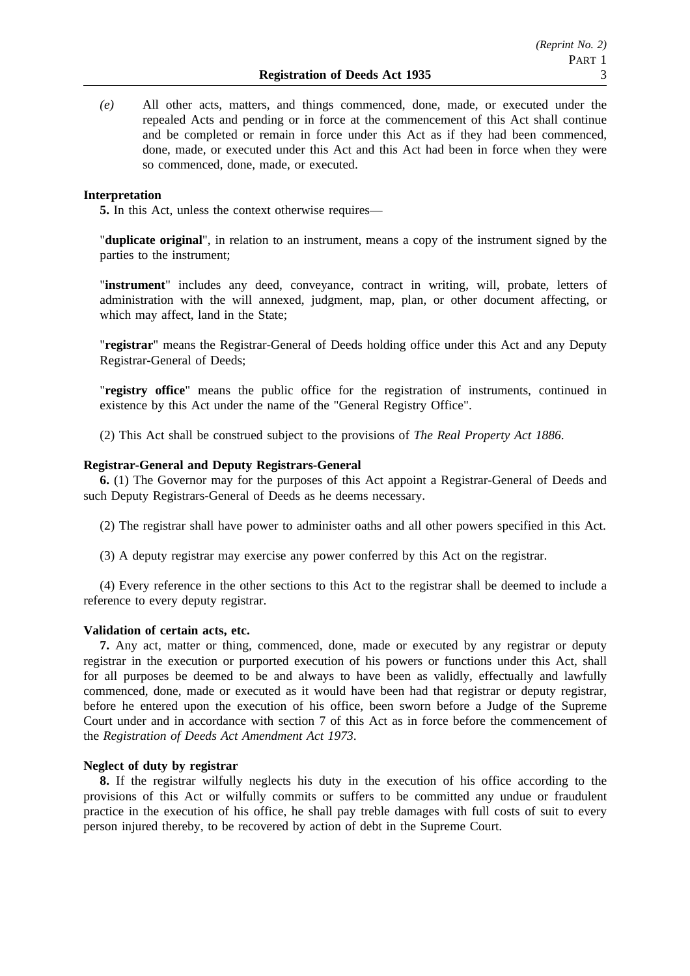*(e)* All other acts, matters, and things commenced, done, made, or executed under the repealed Acts and pending or in force at the commencement of this Act shall continue and be completed or remain in force under this Act as if they had been commenced, done, made, or executed under this Act and this Act had been in force when they were so commenced, done, made, or executed.

# **Interpretation**

**5.** In this Act, unless the context otherwise requires—

"**duplicate original**", in relation to an instrument, means a copy of the instrument signed by the parties to the instrument;

"**instrument**" includes any deed, conveyance, contract in writing, will, probate, letters of administration with the will annexed, judgment, map, plan, or other document affecting, or which may affect, land in the State:

"**registrar**" means the Registrar-General of Deeds holding office under this Act and any Deputy Registrar-General of Deeds;

"**registry office**" means the public office for the registration of instruments, continued in existence by this Act under the name of the "General Registry Office".

(2) This Act shall be construed subject to the provisions of *The Real Property Act 1886*.

# **Registrar-General and Deputy Registrars-General**

**6.** (1) The Governor may for the purposes of this Act appoint a Registrar-General of Deeds and such Deputy Registrars-General of Deeds as he deems necessary.

(2) The registrar shall have power to administer oaths and all other powers specified in this Act.

(3) A deputy registrar may exercise any power conferred by this Act on the registrar.

(4) Every reference in the other sections to this Act to the registrar shall be deemed to include a reference to every deputy registrar.

# **Validation of certain acts, etc.**

**7.** Any act, matter or thing, commenced, done, made or executed by any registrar or deputy registrar in the execution or purported execution of his powers or functions under this Act, shall for all purposes be deemed to be and always to have been as validly, effectually and lawfully commenced, done, made or executed as it would have been had that registrar or deputy registrar, before he entered upon the execution of his office, been sworn before a Judge of the Supreme Court under and in accordance with section 7 of this Act as in force before the commencement of the *Registration of Deeds Act Amendment Act 1973*.

# **Neglect of duty by registrar**

**8.** If the registrar wilfully neglects his duty in the execution of his office according to the provisions of this Act or wilfully commits or suffers to be committed any undue or fraudulent practice in the execution of his office, he shall pay treble damages with full costs of suit to every person injured thereby, to be recovered by action of debt in the Supreme Court.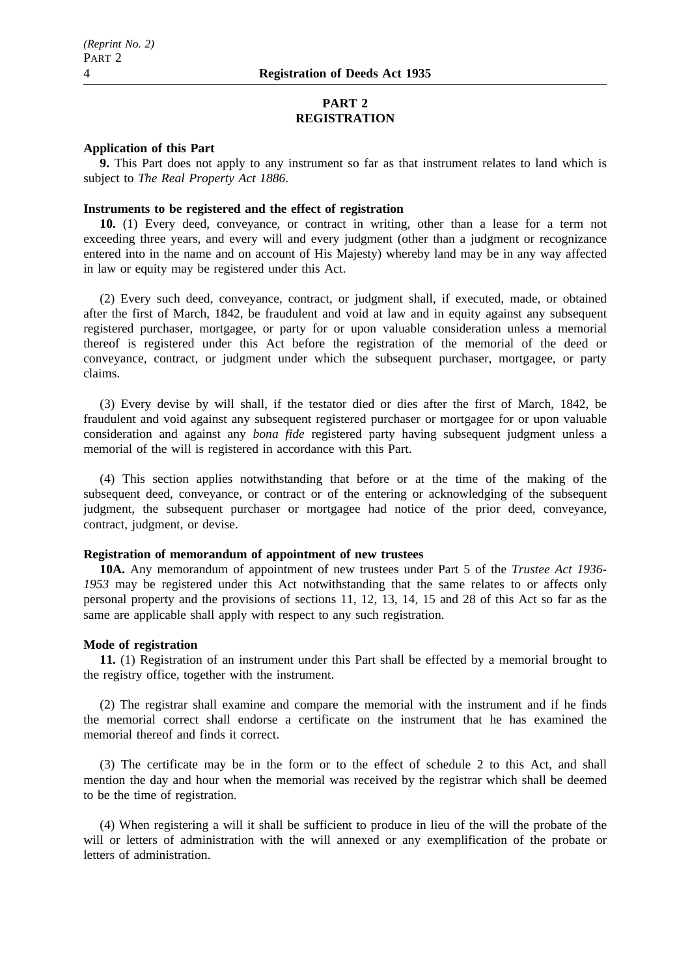# **PART 2 REGISTRATION**

### **Application of this Part**

**9.** This Part does not apply to any instrument so far as that instrument relates to land which is subject to *The Real Property Act 1886*.

# **Instruments to be registered and the effect of registration**

**10.** (1) Every deed, conveyance, or contract in writing, other than a lease for a term not exceeding three years, and every will and every judgment (other than a judgment or recognizance entered into in the name and on account of His Majesty) whereby land may be in any way affected in law or equity may be registered under this Act.

(2) Every such deed, conveyance, contract, or judgment shall, if executed, made, or obtained after the first of March, 1842, be fraudulent and void at law and in equity against any subsequent registered purchaser, mortgagee, or party for or upon valuable consideration unless a memorial thereof is registered under this Act before the registration of the memorial of the deed or conveyance, contract, or judgment under which the subsequent purchaser, mortgagee, or party claims.

(3) Every devise by will shall, if the testator died or dies after the first of March, 1842, be fraudulent and void against any subsequent registered purchaser or mortgagee for or upon valuable consideration and against any *bona fide* registered party having subsequent judgment unless a memorial of the will is registered in accordance with this Part.

(4) This section applies notwithstanding that before or at the time of the making of the subsequent deed, conveyance, or contract or of the entering or acknowledging of the subsequent judgment, the subsequent purchaser or mortgagee had notice of the prior deed, conveyance, contract, judgment, or devise.

# **Registration of memorandum of appointment of new trustees**

**10A.** Any memorandum of appointment of new trustees under Part 5 of the *Trustee Act 1936- 1953* may be registered under this Act notwithstanding that the same relates to or affects only personal property and the provisions of sections 11, 12, 13, 14, 15 and 28 of this Act so far as the same are applicable shall apply with respect to any such registration.

# **Mode of registration**

**11.** (1) Registration of an instrument under this Part shall be effected by a memorial brought to the registry office, together with the instrument.

(2) The registrar shall examine and compare the memorial with the instrument and if he finds the memorial correct shall endorse a certificate on the instrument that he has examined the memorial thereof and finds it correct.

(3) The certificate may be in the form or to the effect of schedule 2 to this Act, and shall mention the day and hour when the memorial was received by the registrar which shall be deemed to be the time of registration.

(4) When registering a will it shall be sufficient to produce in lieu of the will the probate of the will or letters of administration with the will annexed or any exemplification of the probate or letters of administration.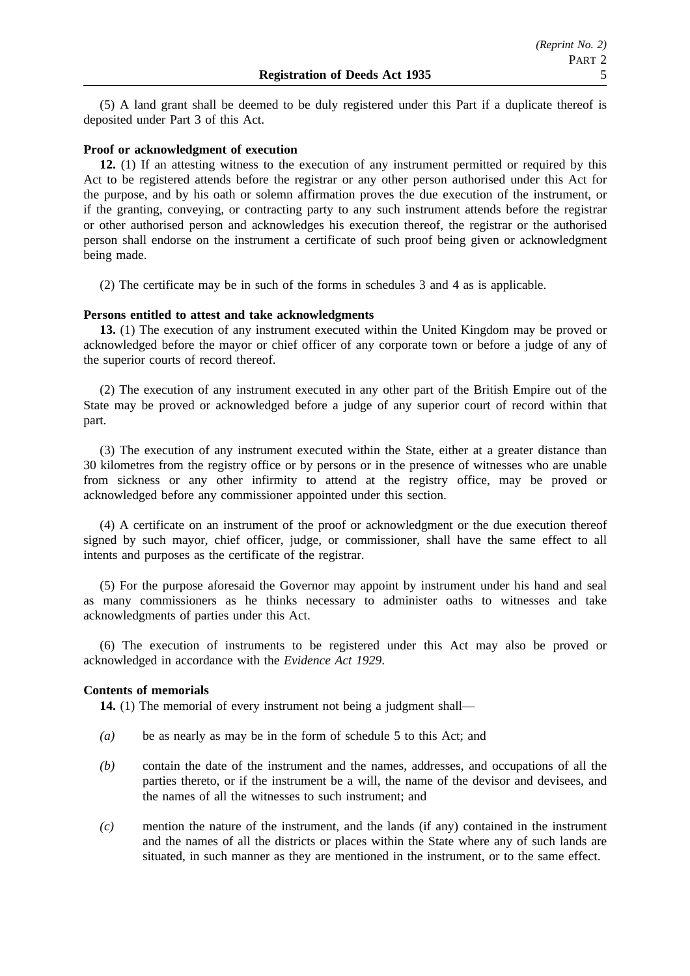(5) A land grant shall be deemed to be duly registered under this Part if a duplicate thereof is deposited under Part 3 of this Act.

# **Proof or acknowledgment of execution**

**12.** (1) If an attesting witness to the execution of any instrument permitted or required by this Act to be registered attends before the registrar or any other person authorised under this Act for the purpose, and by his oath or solemn affirmation proves the due execution of the instrument, or if the granting, conveying, or contracting party to any such instrument attends before the registrar or other authorised person and acknowledges his execution thereof, the registrar or the authorised person shall endorse on the instrument a certificate of such proof being given or acknowledgment being made.

(2) The certificate may be in such of the forms in schedules 3 and 4 as is applicable.

# **Persons entitled to attest and take acknowledgments**

**13.** (1) The execution of any instrument executed within the United Kingdom may be proved or acknowledged before the mayor or chief officer of any corporate town or before a judge of any of the superior courts of record thereof.

(2) The execution of any instrument executed in any other part of the British Empire out of the State may be proved or acknowledged before a judge of any superior court of record within that part.

(3) The execution of any instrument executed within the State, either at a greater distance than 30 kilometres from the registry office or by persons or in the presence of witnesses who are unable from sickness or any other infirmity to attend at the registry office, may be proved or acknowledged before any commissioner appointed under this section.

(4) A certificate on an instrument of the proof or acknowledgment or the due execution thereof signed by such mayor, chief officer, judge, or commissioner, shall have the same effect to all intents and purposes as the certificate of the registrar.

(5) For the purpose aforesaid the Governor may appoint by instrument under his hand and seal as many commissioners as he thinks necessary to administer oaths to witnesses and take acknowledgments of parties under this Act.

(6) The execution of instruments to be registered under this Act may also be proved or acknowledged in accordance with the *Evidence Act 1929*.

# **Contents of memorials**

**14.** (1) The memorial of every instrument not being a judgment shall—

- *(a)* be as nearly as may be in the form of schedule 5 to this Act; and
- *(b)* contain the date of the instrument and the names, addresses, and occupations of all the parties thereto, or if the instrument be a will, the name of the devisor and devisees, and the names of all the witnesses to such instrument; and
- *(c)* mention the nature of the instrument, and the lands (if any) contained in the instrument and the names of all the districts or places within the State where any of such lands are situated, in such manner as they are mentioned in the instrument, or to the same effect.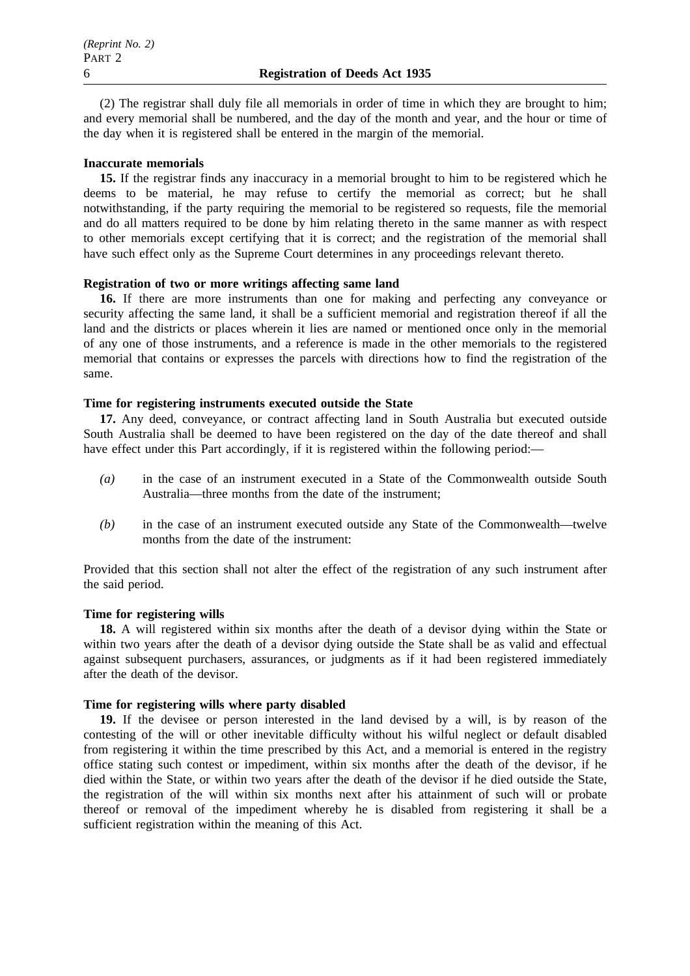(2) The registrar shall duly file all memorials in order of time in which they are brought to him; and every memorial shall be numbered, and the day of the month and year, and the hour or time of the day when it is registered shall be entered in the margin of the memorial.

# **Inaccurate memorials**

**15.** If the registrar finds any inaccuracy in a memorial brought to him to be registered which he deems to be material, he may refuse to certify the memorial as correct; but he shall notwithstanding, if the party requiring the memorial to be registered so requests, file the memorial and do all matters required to be done by him relating thereto in the same manner as with respect to other memorials except certifying that it is correct; and the registration of the memorial shall have such effect only as the Supreme Court determines in any proceedings relevant thereto.

### **Registration of two or more writings affecting same land**

**16.** If there are more instruments than one for making and perfecting any conveyance or security affecting the same land, it shall be a sufficient memorial and registration thereof if all the land and the districts or places wherein it lies are named or mentioned once only in the memorial of any one of those instruments, and a reference is made in the other memorials to the registered memorial that contains or expresses the parcels with directions how to find the registration of the same.

# **Time for registering instruments executed outside the State**

**17.** Any deed, conveyance, or contract affecting land in South Australia but executed outside South Australia shall be deemed to have been registered on the day of the date thereof and shall have effect under this Part accordingly, if it is registered within the following period:—

- *(a)* in the case of an instrument executed in a State of the Commonwealth outside South Australia—three months from the date of the instrument;
- *(b)* in the case of an instrument executed outside any State of the Commonwealth—twelve months from the date of the instrument:

Provided that this section shall not alter the effect of the registration of any such instrument after the said period.

# **Time for registering wills**

**18.** A will registered within six months after the death of a devisor dying within the State or within two years after the death of a devisor dying outside the State shall be as valid and effectual against subsequent purchasers, assurances, or judgments as if it had been registered immediately after the death of the devisor.

# **Time for registering wills where party disabled**

**19.** If the devisee or person interested in the land devised by a will, is by reason of the contesting of the will or other inevitable difficulty without his wilful neglect or default disabled from registering it within the time prescribed by this Act, and a memorial is entered in the registry office stating such contest or impediment, within six months after the death of the devisor, if he died within the State, or within two years after the death of the devisor if he died outside the State, the registration of the will within six months next after his attainment of such will or probate thereof or removal of the impediment whereby he is disabled from registering it shall be a sufficient registration within the meaning of this Act.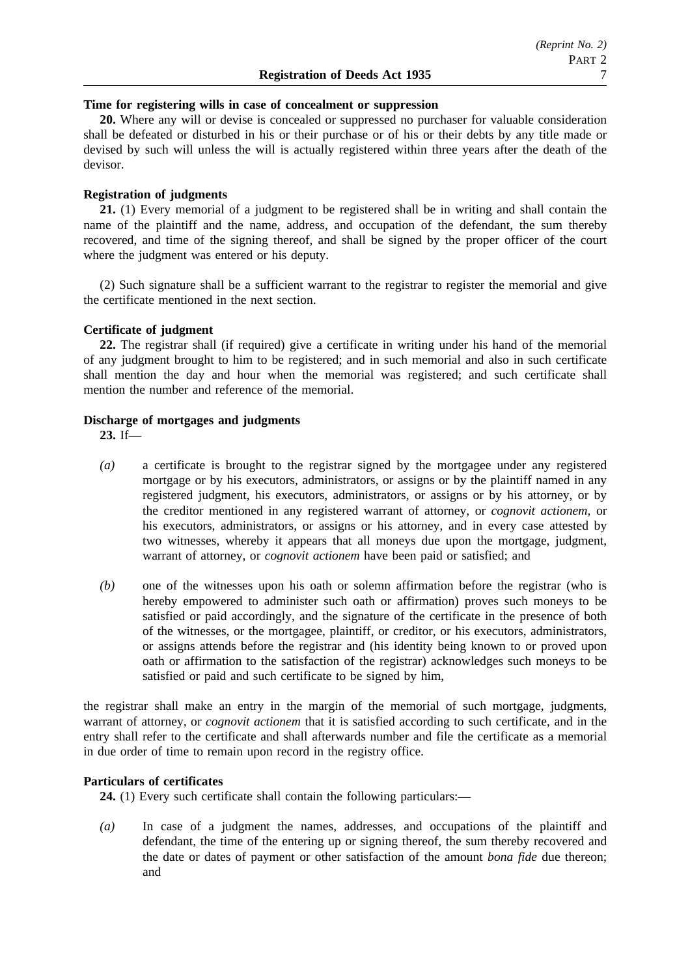### **Time for registering wills in case of concealment or suppression**

**20.** Where any will or devise is concealed or suppressed no purchaser for valuable consideration shall be defeated or disturbed in his or their purchase or of his or their debts by any title made or devised by such will unless the will is actually registered within three years after the death of the devisor.

### **Registration of judgments**

**21.** (1) Every memorial of a judgment to be registered shall be in writing and shall contain the name of the plaintiff and the name, address, and occupation of the defendant, the sum thereby recovered, and time of the signing thereof, and shall be signed by the proper officer of the court where the judgment was entered or his deputy.

(2) Such signature shall be a sufficient warrant to the registrar to register the memorial and give the certificate mentioned in the next section.

# **Certificate of judgment**

**22.** The registrar shall (if required) give a certificate in writing under his hand of the memorial of any judgment brought to him to be registered; and in such memorial and also in such certificate shall mention the day and hour when the memorial was registered; and such certificate shall mention the number and reference of the memorial.

#### **Discharge of mortgages and judgments**

**23.** If—

- *(a)* a certificate is brought to the registrar signed by the mortgagee under any registered mortgage or by his executors, administrators, or assigns or by the plaintiff named in any registered judgment, his executors, administrators, or assigns or by his attorney, or by the creditor mentioned in any registered warrant of attorney, or *cognovit actionem*, or his executors, administrators, or assigns or his attorney, and in every case attested by two witnesses, whereby it appears that all moneys due upon the mortgage, judgment, warrant of attorney, or *cognovit actionem* have been paid or satisfied; and
- *(b)* one of the witnesses upon his oath or solemn affirmation before the registrar (who is hereby empowered to administer such oath or affirmation) proves such moneys to be satisfied or paid accordingly, and the signature of the certificate in the presence of both of the witnesses, or the mortgagee, plaintiff, or creditor, or his executors, administrators, or assigns attends before the registrar and (his identity being known to or proved upon oath or affirmation to the satisfaction of the registrar) acknowledges such moneys to be satisfied or paid and such certificate to be signed by him,

the registrar shall make an entry in the margin of the memorial of such mortgage, judgments, warrant of attorney, or *cognovit actionem* that it is satisfied according to such certificate, and in the entry shall refer to the certificate and shall afterwards number and file the certificate as a memorial in due order of time to remain upon record in the registry office.

# **Particulars of certificates**

**24.** (1) Every such certificate shall contain the following particulars:—

*(a)* In case of a judgment the names, addresses, and occupations of the plaintiff and defendant, the time of the entering up or signing thereof, the sum thereby recovered and the date or dates of payment or other satisfaction of the amount *bona fide* due thereon; and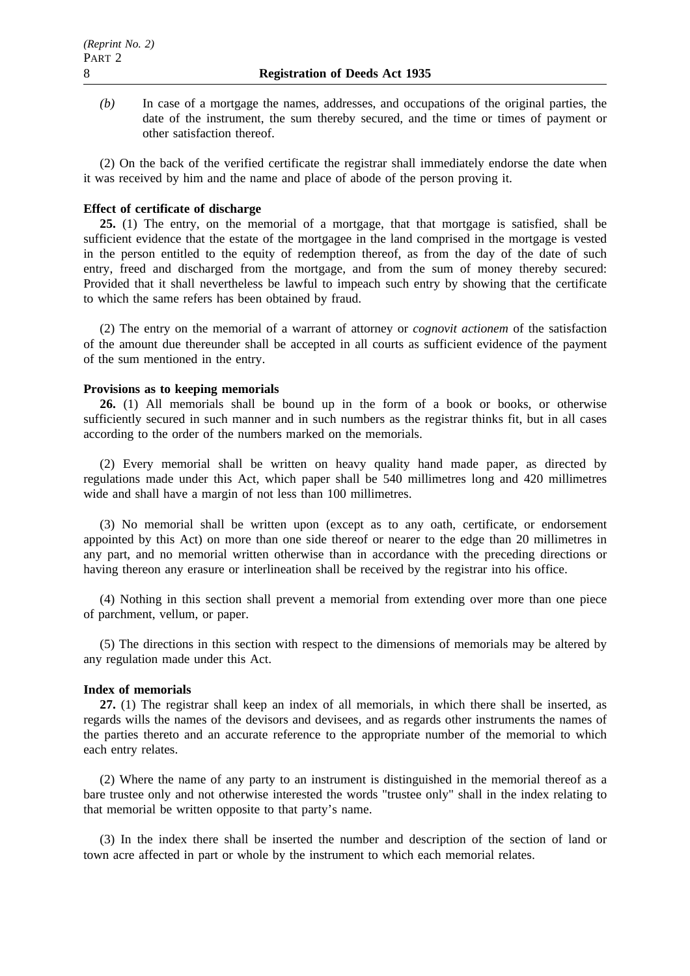*(b)* In case of a mortgage the names, addresses, and occupations of the original parties, the date of the instrument, the sum thereby secured, and the time or times of payment or other satisfaction thereof.

(2) On the back of the verified certificate the registrar shall immediately endorse the date when it was received by him and the name and place of abode of the person proving it.

# **Effect of certificate of discharge**

**25.** (1) The entry, on the memorial of a mortgage, that that mortgage is satisfied, shall be sufficient evidence that the estate of the mortgagee in the land comprised in the mortgage is vested in the person entitled to the equity of redemption thereof, as from the day of the date of such entry, freed and discharged from the mortgage, and from the sum of money thereby secured: Provided that it shall nevertheless be lawful to impeach such entry by showing that the certificate to which the same refers has been obtained by fraud.

(2) The entry on the memorial of a warrant of attorney or *cognovit actionem* of the satisfaction of the amount due thereunder shall be accepted in all courts as sufficient evidence of the payment of the sum mentioned in the entry.

#### **Provisions as to keeping memorials**

**26.** (1) All memorials shall be bound up in the form of a book or books, or otherwise sufficiently secured in such manner and in such numbers as the registrar thinks fit, but in all cases according to the order of the numbers marked on the memorials.

(2) Every memorial shall be written on heavy quality hand made paper, as directed by regulations made under this Act, which paper shall be 540 millimetres long and 420 millimetres wide and shall have a margin of not less than 100 millimetres.

(3) No memorial shall be written upon (except as to any oath, certificate, or endorsement appointed by this Act) on more than one side thereof or nearer to the edge than 20 millimetres in any part, and no memorial written otherwise than in accordance with the preceding directions or having thereon any erasure or interlineation shall be received by the registrar into his office.

(4) Nothing in this section shall prevent a memorial from extending over more than one piece of parchment, vellum, or paper.

(5) The directions in this section with respect to the dimensions of memorials may be altered by any regulation made under this Act.

#### **Index of memorials**

**27.** (1) The registrar shall keep an index of all memorials, in which there shall be inserted, as regards wills the names of the devisors and devisees, and as regards other instruments the names of the parties thereto and an accurate reference to the appropriate number of the memorial to which each entry relates.

(2) Where the name of any party to an instrument is distinguished in the memorial thereof as a bare trustee only and not otherwise interested the words "trustee only" shall in the index relating to that memorial be written opposite to that party's name.

(3) In the index there shall be inserted the number and description of the section of land or town acre affected in part or whole by the instrument to which each memorial relates.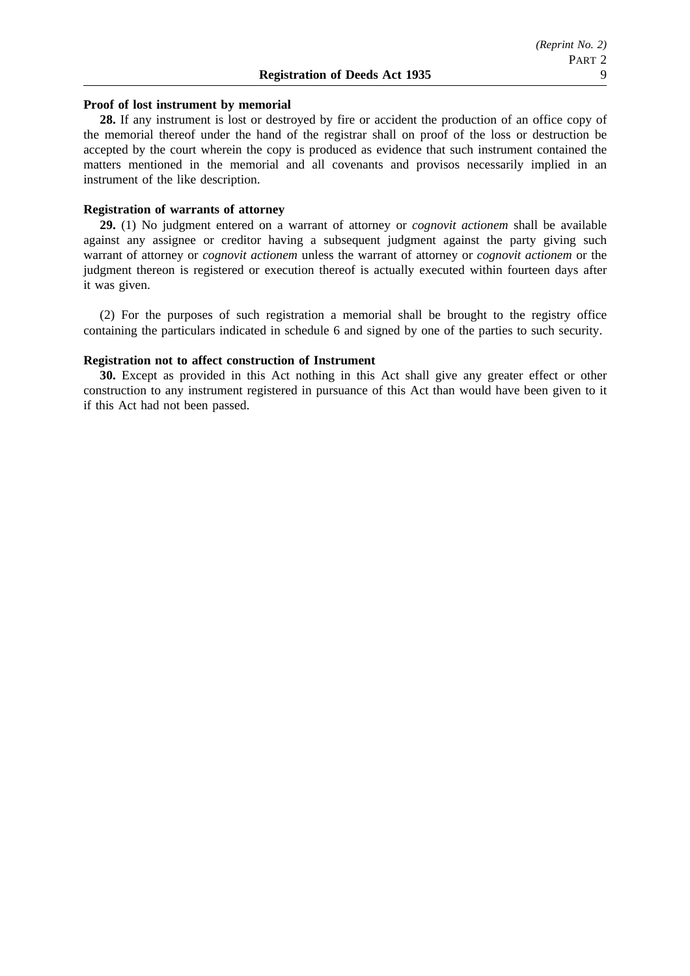#### **Proof of lost instrument by memorial**

**28.** If any instrument is lost or destroyed by fire or accident the production of an office copy of the memorial thereof under the hand of the registrar shall on proof of the loss or destruction be accepted by the court wherein the copy is produced as evidence that such instrument contained the matters mentioned in the memorial and all covenants and provisos necessarily implied in an instrument of the like description.

# **Registration of warrants of attorney**

**29.** (1) No judgment entered on a warrant of attorney or *cognovit actionem* shall be available against any assignee or creditor having a subsequent judgment against the party giving such warrant of attorney or *cognovit actionem* unless the warrant of attorney or *cognovit actionem* or the judgment thereon is registered or execution thereof is actually executed within fourteen days after it was given.

(2) For the purposes of such registration a memorial shall be brought to the registry office containing the particulars indicated in schedule 6 and signed by one of the parties to such security.

# **Registration not to affect construction of Instrument**

**30.** Except as provided in this Act nothing in this Act shall give any greater effect or other construction to any instrument registered in pursuance of this Act than would have been given to it if this Act had not been passed.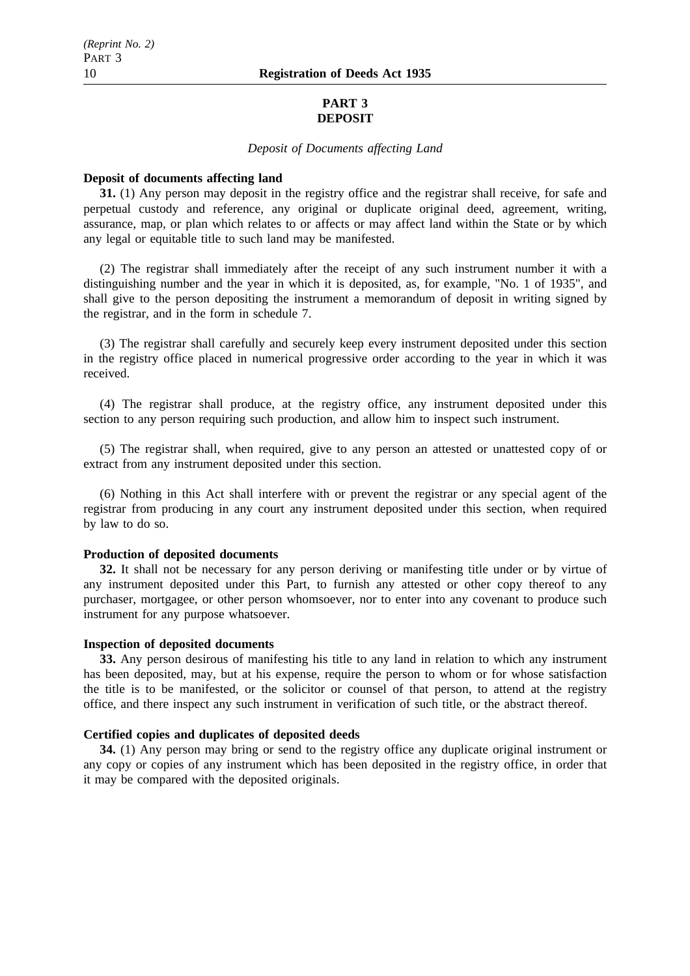# **PART 3 DEPOSIT**

# *Deposit of Documents affecting Land*

#### **Deposit of documents affecting land**

**31.** (1) Any person may deposit in the registry office and the registrar shall receive, for safe and perpetual custody and reference, any original or duplicate original deed, agreement, writing, assurance, map, or plan which relates to or affects or may affect land within the State or by which any legal or equitable title to such land may be manifested.

(2) The registrar shall immediately after the receipt of any such instrument number it with a distinguishing number and the year in which it is deposited, as, for example, "No. 1 of 1935", and shall give to the person depositing the instrument a memorandum of deposit in writing signed by the registrar, and in the form in schedule 7.

(3) The registrar shall carefully and securely keep every instrument deposited under this section in the registry office placed in numerical progressive order according to the year in which it was received.

(4) The registrar shall produce, at the registry office, any instrument deposited under this section to any person requiring such production, and allow him to inspect such instrument.

(5) The registrar shall, when required, give to any person an attested or unattested copy of or extract from any instrument deposited under this section.

(6) Nothing in this Act shall interfere with or prevent the registrar or any special agent of the registrar from producing in any court any instrument deposited under this section, when required by law to do so.

# **Production of deposited documents**

**32.** It shall not be necessary for any person deriving or manifesting title under or by virtue of any instrument deposited under this Part, to furnish any attested or other copy thereof to any purchaser, mortgagee, or other person whomsoever, nor to enter into any covenant to produce such instrument for any purpose whatsoever.

#### **Inspection of deposited documents**

**33.** Any person desirous of manifesting his title to any land in relation to which any instrument has been deposited, may, but at his expense, require the person to whom or for whose satisfaction the title is to be manifested, or the solicitor or counsel of that person, to attend at the registry office, and there inspect any such instrument in verification of such title, or the abstract thereof.

#### **Certified copies and duplicates of deposited deeds**

**34.** (1) Any person may bring or send to the registry office any duplicate original instrument or any copy or copies of any instrument which has been deposited in the registry office, in order that it may be compared with the deposited originals.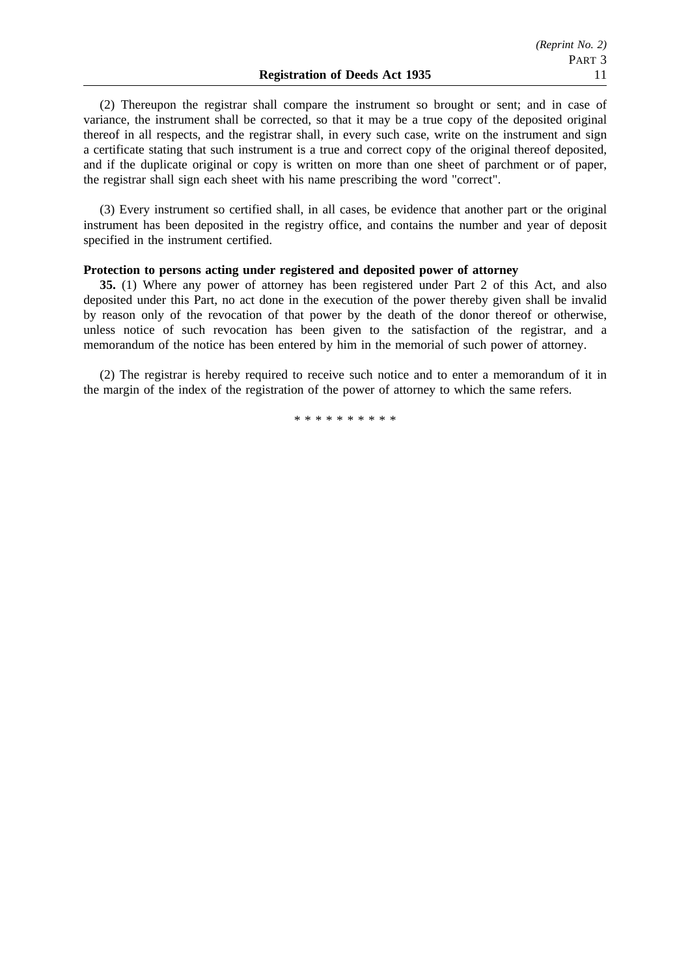(2) Thereupon the registrar shall compare the instrument so brought or sent; and in case of variance, the instrument shall be corrected, so that it may be a true copy of the deposited original thereof in all respects, and the registrar shall, in every such case, write on the instrument and sign a certificate stating that such instrument is a true and correct copy of the original thereof deposited, and if the duplicate original or copy is written on more than one sheet of parchment or of paper, the registrar shall sign each sheet with his name prescribing the word "correct".

(3) Every instrument so certified shall, in all cases, be evidence that another part or the original instrument has been deposited in the registry office, and contains the number and year of deposit specified in the instrument certified.

#### **Protection to persons acting under registered and deposited power of attorney**

**35.** (1) Where any power of attorney has been registered under Part 2 of this Act, and also deposited under this Part, no act done in the execution of the power thereby given shall be invalid by reason only of the revocation of that power by the death of the donor thereof or otherwise, unless notice of such revocation has been given to the satisfaction of the registrar, and a memorandum of the notice has been entered by him in the memorial of such power of attorney.

(2) The registrar is hereby required to receive such notice and to enter a memorandum of it in the margin of the index of the registration of the power of attorney to which the same refers.

\*\*\*\*\*\*\*\*\*\*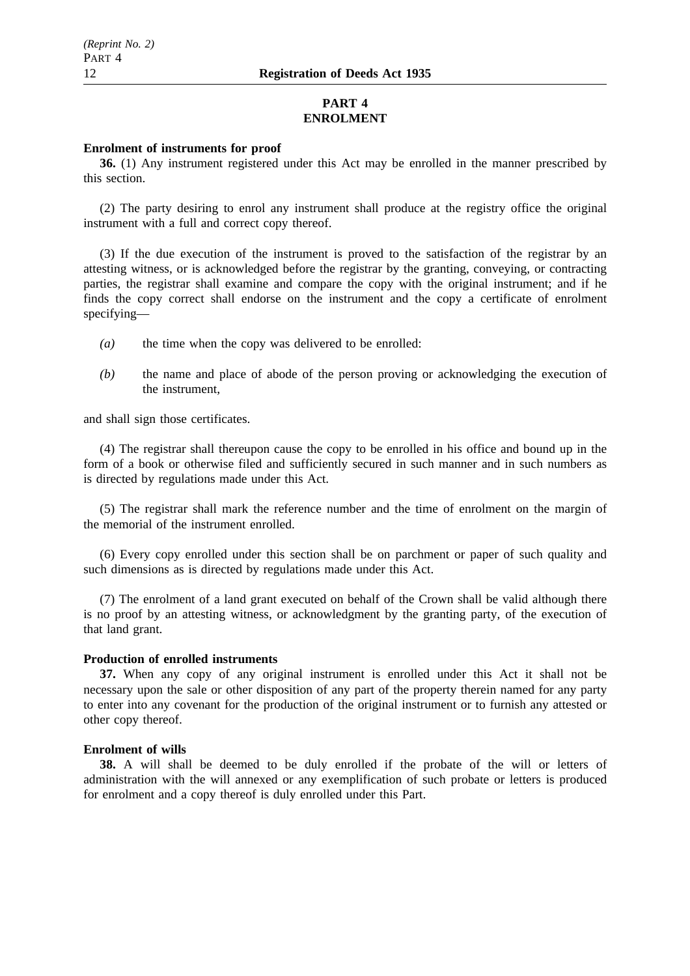# **PART 4 ENROLMENT**

#### **Enrolment of instruments for proof**

**36.** (1) Any instrument registered under this Act may be enrolled in the manner prescribed by this section.

(2) The party desiring to enrol any instrument shall produce at the registry office the original instrument with a full and correct copy thereof.

(3) If the due execution of the instrument is proved to the satisfaction of the registrar by an attesting witness, or is acknowledged before the registrar by the granting, conveying, or contracting parties, the registrar shall examine and compare the copy with the original instrument; and if he finds the copy correct shall endorse on the instrument and the copy a certificate of enrolment specifying—

- *(a)* the time when the copy was delivered to be enrolled:
- *(b)* the name and place of abode of the person proving or acknowledging the execution of the instrument,

and shall sign those certificates.

(4) The registrar shall thereupon cause the copy to be enrolled in his office and bound up in the form of a book or otherwise filed and sufficiently secured in such manner and in such numbers as is directed by regulations made under this Act.

(5) The registrar shall mark the reference number and the time of enrolment on the margin of the memorial of the instrument enrolled.

(6) Every copy enrolled under this section shall be on parchment or paper of such quality and such dimensions as is directed by regulations made under this Act.

(7) The enrolment of a land grant executed on behalf of the Crown shall be valid although there is no proof by an attesting witness, or acknowledgment by the granting party, of the execution of that land grant.

#### **Production of enrolled instruments**

**37.** When any copy of any original instrument is enrolled under this Act it shall not be necessary upon the sale or other disposition of any part of the property therein named for any party to enter into any covenant for the production of the original instrument or to furnish any attested or other copy thereof.

#### **Enrolment of wills**

**38.** A will shall be deemed to be duly enrolled if the probate of the will or letters of administration with the will annexed or any exemplification of such probate or letters is produced for enrolment and a copy thereof is duly enrolled under this Part.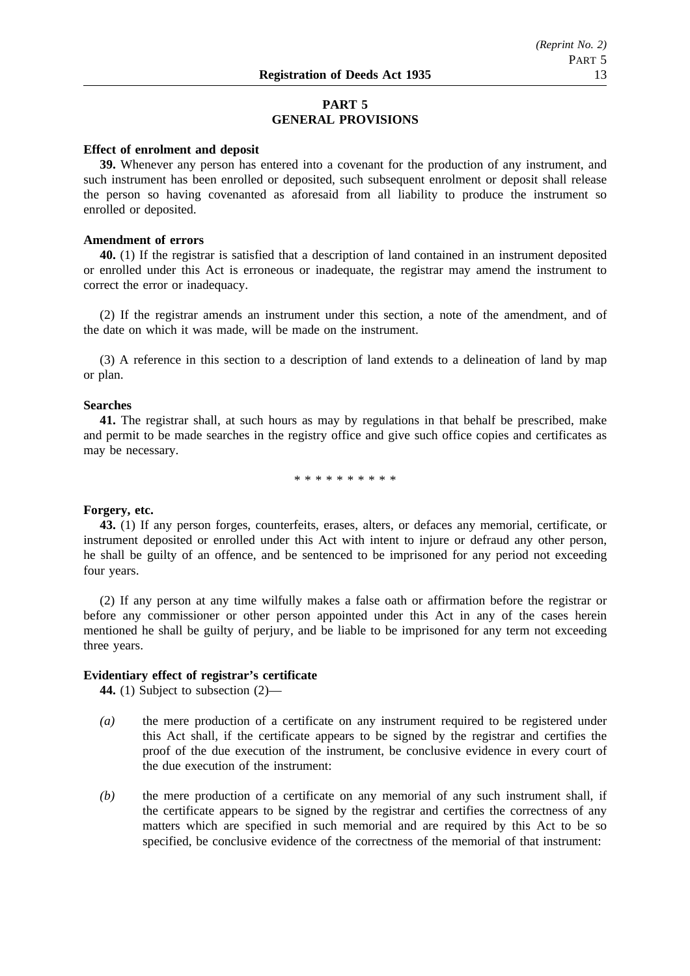# **PART 5 GENERAL PROVISIONS**

#### **Effect of enrolment and deposit**

**39.** Whenever any person has entered into a covenant for the production of any instrument, and such instrument has been enrolled or deposited, such subsequent enrolment or deposit shall release the person so having covenanted as aforesaid from all liability to produce the instrument so enrolled or deposited.

#### **Amendment of errors**

**40.** (1) If the registrar is satisfied that a description of land contained in an instrument deposited or enrolled under this Act is erroneous or inadequate, the registrar may amend the instrument to correct the error or inadequacy.

(2) If the registrar amends an instrument under this section, a note of the amendment, and of the date on which it was made, will be made on the instrument.

(3) A reference in this section to a description of land extends to a delineation of land by map or plan.

# **Searches**

**41.** The registrar shall, at such hours as may by regulations in that behalf be prescribed, make and permit to be made searches in the registry office and give such office copies and certificates as may be necessary.

\*\*\*\*\*\*\*\*\*\*

#### **Forgery, etc.**

**43.** (1) If any person forges, counterfeits, erases, alters, or defaces any memorial, certificate, or instrument deposited or enrolled under this Act with intent to injure or defraud any other person, he shall be guilty of an offence, and be sentenced to be imprisoned for any period not exceeding four years.

(2) If any person at any time wilfully makes a false oath or affirmation before the registrar or before any commissioner or other person appointed under this Act in any of the cases herein mentioned he shall be guilty of perjury, and be liable to be imprisoned for any term not exceeding three years.

# **Evidentiary effect of registrar's certificate**

**44.** (1) Subject to subsection (2)—

- *(a)* the mere production of a certificate on any instrument required to be registered under this Act shall, if the certificate appears to be signed by the registrar and certifies the proof of the due execution of the instrument, be conclusive evidence in every court of the due execution of the instrument:
- *(b)* the mere production of a certificate on any memorial of any such instrument shall, if the certificate appears to be signed by the registrar and certifies the correctness of any matters which are specified in such memorial and are required by this Act to be so specified, be conclusive evidence of the correctness of the memorial of that instrument: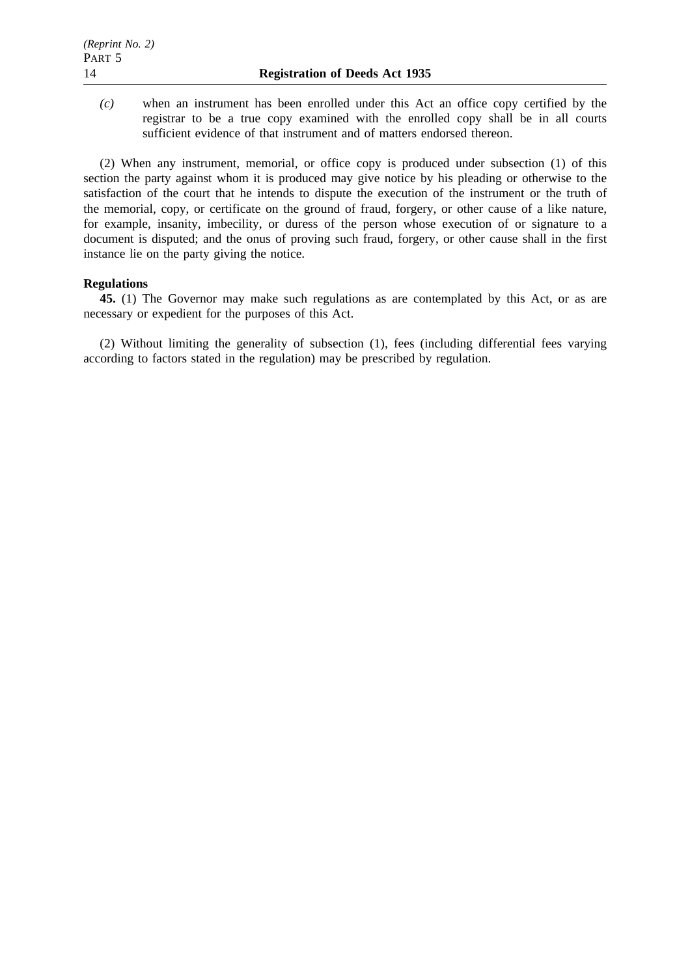*(c)* when an instrument has been enrolled under this Act an office copy certified by the registrar to be a true copy examined with the enrolled copy shall be in all courts sufficient evidence of that instrument and of matters endorsed thereon.

(2) When any instrument, memorial, or office copy is produced under subsection (1) of this section the party against whom it is produced may give notice by his pleading or otherwise to the satisfaction of the court that he intends to dispute the execution of the instrument or the truth of the memorial, copy, or certificate on the ground of fraud, forgery, or other cause of a like nature, for example, insanity, imbecility, or duress of the person whose execution of or signature to a document is disputed; and the onus of proving such fraud, forgery, or other cause shall in the first instance lie on the party giving the notice.

# **Regulations**

**45.** (1) The Governor may make such regulations as are contemplated by this Act, or as are necessary or expedient for the purposes of this Act.

(2) Without limiting the generality of subsection (1), fees (including differential fees varying according to factors stated in the regulation) may be prescribed by regulation.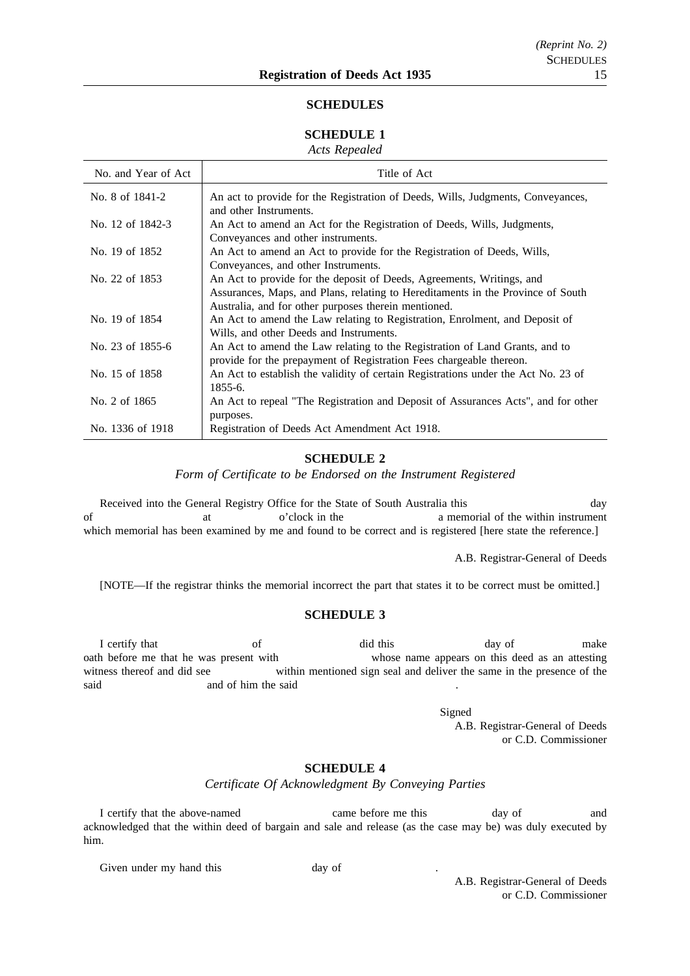### **SCHEDULES**

# **SCHEDULE 1**

*Acts Repealed*

| No. and Year of Act | Title of Act                                                                                                                                                                                                     |
|---------------------|------------------------------------------------------------------------------------------------------------------------------------------------------------------------------------------------------------------|
| No. 8 of 1841-2     | An act to provide for the Registration of Deeds, Wills, Judgments, Conveyances,<br>and other Instruments.                                                                                                        |
| No. 12 of 1842-3    | An Act to amend an Act for the Registration of Deeds, Wills, Judgments,<br>Conveyances and other instruments.                                                                                                    |
| No. 19 of 1852      | An Act to amend an Act to provide for the Registration of Deeds, Wills,<br>Conveyances, and other Instruments.                                                                                                   |
| No. 22 of 1853      | An Act to provide for the deposit of Deeds, Agreements, Writings, and<br>Assurances, Maps, and Plans, relating to Hereditaments in the Province of South<br>Australia, and for other purposes therein mentioned. |
| No. 19 of 1854      | An Act to amend the Law relating to Registration, Enrolment, and Deposit of<br>Wills, and other Deeds and Instruments.                                                                                           |
| No. 23 of 1855-6    | An Act to amend the Law relating to the Registration of Land Grants, and to<br>provide for the prepayment of Registration Fees chargeable thereon.                                                               |
| No. 15 of 1858      | An Act to establish the validity of certain Registrations under the Act No. 23 of<br>$1855 - 6.$                                                                                                                 |
| No. 2 of 1865       | An Act to repeal "The Registration and Deposit of Assurances Acts", and for other<br>purposes.                                                                                                                   |
| No. 1336 of 1918    | Registration of Deeds Act Amendment Act 1918.                                                                                                                                                                    |

# **SCHEDULE 2**

*Form of Certificate to be Endorsed on the Instrument Registered*

Received into the General Registry Office for the State of South Australia this day of at o'clock in the a memorial of the within instrument which memorial has been examined by me and found to be correct and is registered [here state the reference.]

A.B. Registrar-General of Deeds

[NOTE—If the registrar thinks the memorial incorrect the part that states it to be correct must be omitted.]

# **SCHEDULE 3**

I certify that of did this day of make oath before me that he was present with whose name appears on this deed as an attesting witness thereof and did see within mentioned sign seal and deliver the same in the presence of the said and of him the said

Signed

A.B. Registrar-General of Deeds or C.D. Commissioner

### **SCHEDULE 4**

#### *Certificate Of Acknowledgment By Conveying Parties*

I certify that the above-named came before me this day of and acknowledged that the within deed of bargain and sale and release (as the case may be) was duly executed by him.

Given under my hand this day of .

A.B. Registrar-General of Deeds or C.D. Commissioner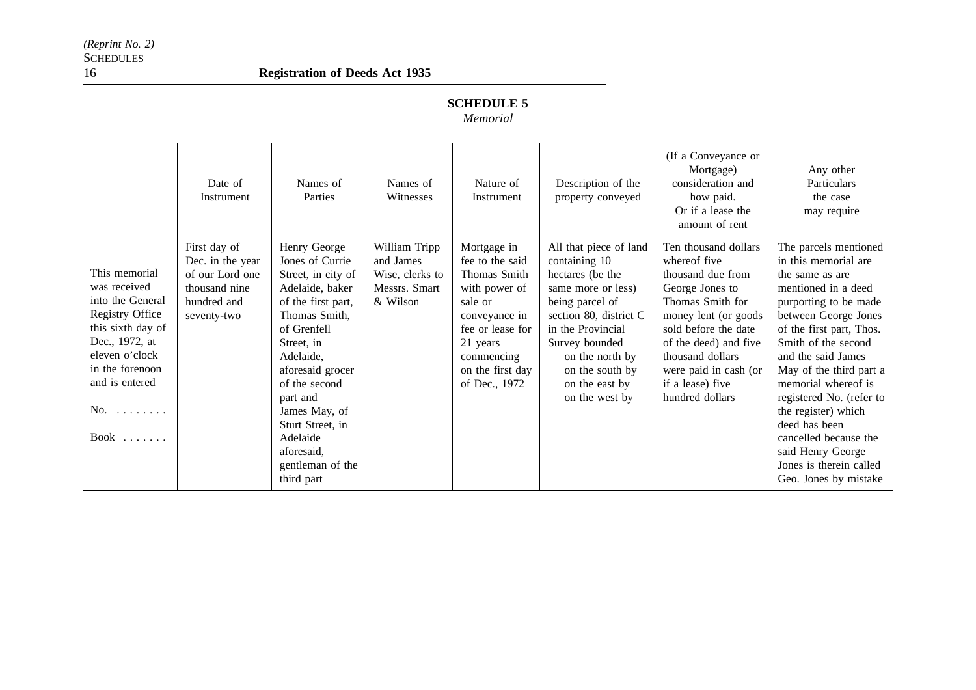# **Registration of Deeds Act 1935**

# **SCHEDULE 5**

#### *Memorial*

|                                                                                                                                                                                                                 | Date of<br>Instrument                                                                              | Names of<br>Parties                                                                                                                                                                                                                                                                                         | Names of<br>Witnesses                                                      | Nature of<br>Instrument                                                                                                                                                        | Description of the<br>property conveyed                                                                                                                                                                                                         | (If a Conveyance or<br>Mortgage)<br>consideration and<br>how paid.<br>Or if a lease the<br>amount of rent                                                                                                                                                     | Any other<br>Particulars<br>the case<br>may require                                                                                                                                                                                                                                                                                                                                                                                       |
|-----------------------------------------------------------------------------------------------------------------------------------------------------------------------------------------------------------------|----------------------------------------------------------------------------------------------------|-------------------------------------------------------------------------------------------------------------------------------------------------------------------------------------------------------------------------------------------------------------------------------------------------------------|----------------------------------------------------------------------------|--------------------------------------------------------------------------------------------------------------------------------------------------------------------------------|-------------------------------------------------------------------------------------------------------------------------------------------------------------------------------------------------------------------------------------------------|---------------------------------------------------------------------------------------------------------------------------------------------------------------------------------------------------------------------------------------------------------------|-------------------------------------------------------------------------------------------------------------------------------------------------------------------------------------------------------------------------------------------------------------------------------------------------------------------------------------------------------------------------------------------------------------------------------------------|
| This memorial<br>was received<br>into the General<br>Registry Office<br>this sixth day of<br>Dec., 1972, at<br>eleven o'clock<br>in the forenoon<br>and is entered<br>$No. \ldots \ldots$<br>$Book \dots \dots$ | First day of<br>Dec. in the year<br>of our Lord one<br>thousand nine<br>hundred and<br>seventy-two | Henry George<br>Jones of Currie<br>Street, in city of<br>Adelaide, baker<br>of the first part,<br>Thomas Smith,<br>of Grenfell<br>Street, in<br>Adelaide,<br>aforesaid grocer<br>of the second<br>part and<br>James May, of<br>Sturt Street, in<br>Adelaide<br>aforesaid,<br>gentleman of the<br>third part | William Tripp<br>and James<br>Wise, clerks to<br>Messrs. Smart<br>& Wilson | Mortgage in<br>fee to the said<br>Thomas Smith<br>with power of<br>sale or<br>conveyance in<br>fee or lease for<br>21 years<br>commencing<br>on the first day<br>of Dec., 1972 | All that piece of land<br>containing 10<br>hectares (be the<br>same more or less)<br>being parcel of<br>section 80, district C<br>in the Provincial<br>Survey bounded<br>on the north by<br>on the south by<br>on the east by<br>on the west by | Ten thousand dollars<br>whereof five<br>thousand due from<br>George Jones to<br>Thomas Smith for<br>money lent (or goods<br>sold before the date<br>of the deed) and five<br>thousand dollars<br>were paid in cash (or<br>if a lease) five<br>hundred dollars | The parcels mentioned<br>in this memorial are<br>the same as are<br>mentioned in a deed<br>purporting to be made<br>between George Jones<br>of the first part, Thos.<br>Smith of the second<br>and the said James<br>May of the third part a<br>memorial whereof is<br>registered No. (refer to<br>the register) which<br>deed has been<br>cancelled because the<br>said Henry George<br>Jones is therein called<br>Geo. Jones by mistake |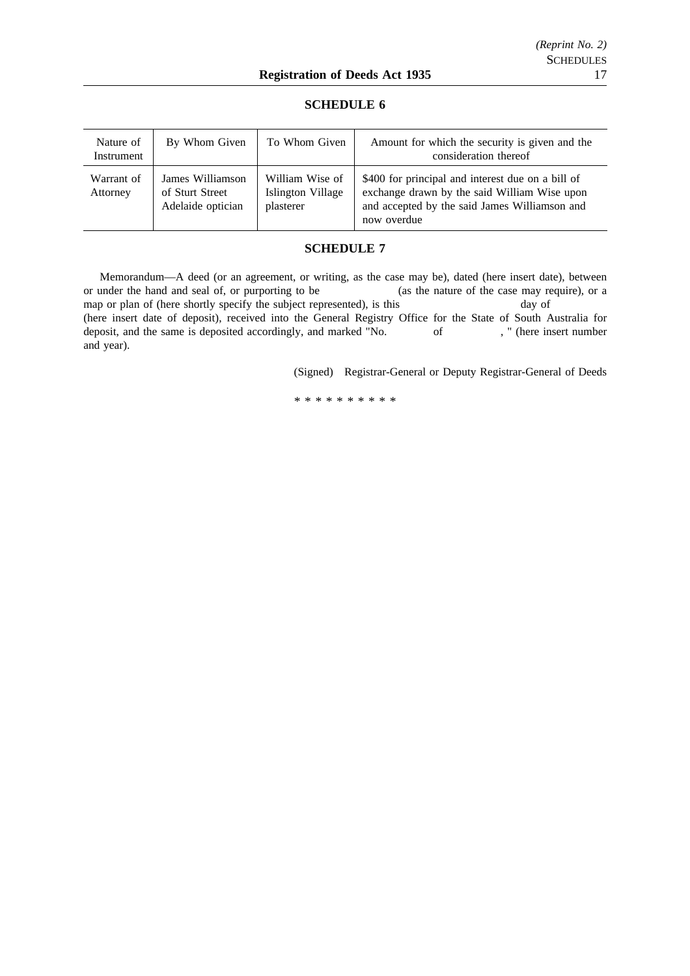| Nature of<br>Instrument | By Whom Given                                            | To Whom Given                                     | Amount for which the security is given and the<br>consideration thereof                                                                                           |
|-------------------------|----------------------------------------------------------|---------------------------------------------------|-------------------------------------------------------------------------------------------------------------------------------------------------------------------|
| Warrant of<br>Attorney  | James Williamson<br>of Sturt Street<br>Adelaide optician | William Wise of<br>Islington Village<br>plasterer | \$400 for principal and interest due on a bill of<br>exchange drawn by the said William Wise upon<br>and accepted by the said James Williamson and<br>now overdue |

# **SCHEDULE 6**

# **SCHEDULE 7**

Memorandum—A deed (or an agreement, or writing, as the case may be), dated (here insert date), between or under the hand and seal of, or purporting to be (as the nature of the case may require), or a map or plan of (here shortly specify the subject represented), is this day of day of (here insert date of deposit), received into the General Registry Office for the State of South Australia for deposit, and the same is deposited accordingly, and marked "No. of fermioness" (here insert number and year).

(Signed) Registrar-General or Deputy Registrar-General of Deeds

\*\*\*\*\*\*\*\*\*\*